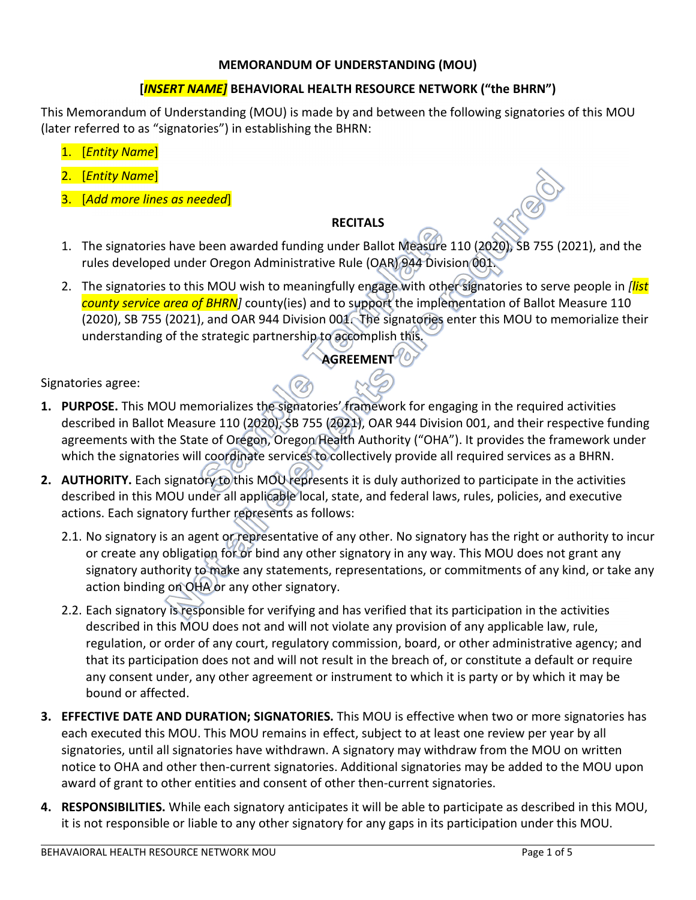#### **MEMORANDUM OF UNDERSTANDING (MOU)**

# **[***INSERT NAME]* **BEHAVIORAL HEALTH RESOURCE NETWORK ("the BHRN")**

This Memorandum of Understanding (MOU) is made by and between the following signatories of this MOU (later referred to as "signatories") in establishing the BHRN:

- 1. [*Entity Name*]
- 2. [*Entity Name*]
- 3. [*Add more lines as needed*]

### **RECITALS**

- 1. The signatories have been awarded funding under Ballot Measure 110 (2020), SB 755 (2021), and the rules developed under Oregon Administrative Rule (OAR) 944 Division 001.
- 2. The signatories to this MOU wish to meaningfully engage with other signatories to serve people in *[list county service area of BHRN]* county(ies) and to support the implementation of Ballot Measure 110 (2020), SB 755 (2021), and OAR 944 Division 001. The signatories enter this MOU to memorialize their understanding of the strategic partnership to accomplish this.

# **AGREEMENT**

Signatories agree:

- **1. PURPOSE.** This MOU memorializes the signatories' framework for engaging in the required activities described in Ballot Measure 110 (2020), SB 755 (2021), OAR 944 Division 001, and their respective funding agreements with the State of Oregon, Oregon Health Authority ("OHA"). It provides the framework under which the signatories will coordinate services to collectively provide all required services as a BHRN.
- **2. AUTHORITY.** Each signatory to this MOU represents it is duly authorized to participate in the activities described in this MOU under all applicable local, state, and federal laws, rules, policies, and executive actions. Each signatory further represents as follows:
	- 2.1. No signatory is an agent or representative of any other. No signatory has the right or authority to incur or create any obligation for or bind any other signatory in any way. This MOU does not grant any signatory authority to make any statements, representations, or commitments of any kind, or take any action binding on OHA or any other signatory.
	- 2.2. Each signatory is responsible for verifying and has verified that its participation in the activities described in this MOU does not and will not violate any provision of any applicable law, rule, regulation, or order of any court, regulatory commission, board, or other administrative agency; and that its participation does not and will not result in the breach of, or constitute a default or require any consent under, any other agreement or instrument to which it is party or by which it may be bound or affected.
- **3. EFFECTIVE DATE AND DURATION; SIGNATORIES.** This MOU is effective when two or more signatories has each executed this MOU. This MOU remains in effect, subject to at least one review per year by all signatories, until all signatories have withdrawn. A signatory may withdraw from the MOU on written notice to OHA and other then-current signatories. Additional signatories may be added to the MOU upon award of grant to other entities and consent of other then-current signatories.
- **4. RESPONSIBILITIES.** While each signatory anticipates it will be able to participate as described in this MOU, it is not responsible or liable to any other signatory for any gaps in its participation under this MOU.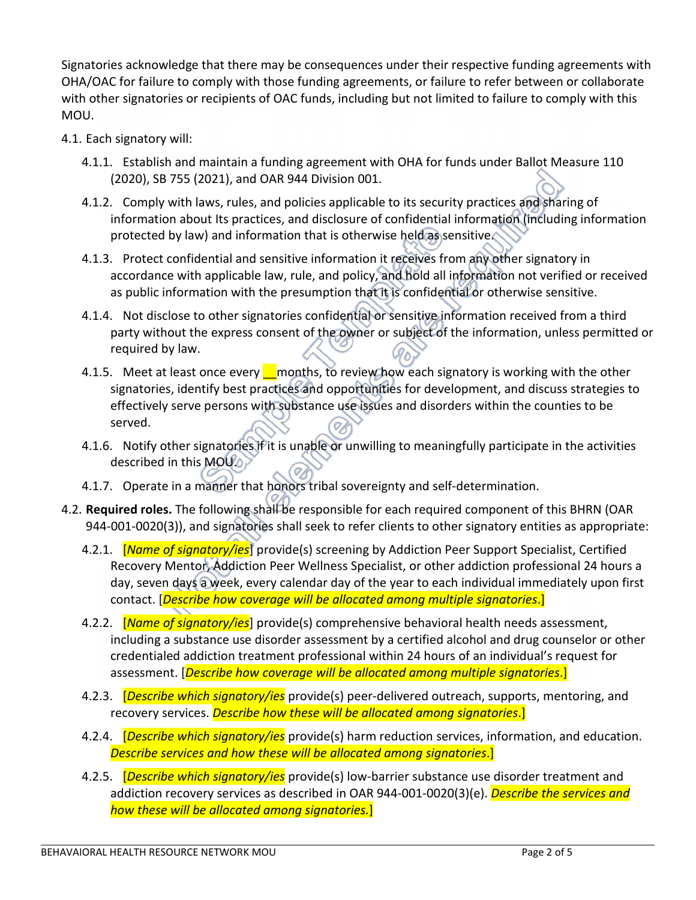Signatories acknowledge that there may be consequences under their respective funding agreements with OHA/OAC for failure to comply with those funding agreements, or failure to refer between or collaborate with other signatories or recipients of OAC funds, including but not limited to failure to comply with this MOU.

- 4.1. Each signatory will:
	- 4.1.1. Establish and maintain a funding agreement with OHA for funds under Ballot Measure 110 (2020), SB 755 (2021), and OAR 944 Division 001.
	- 4.1.2. Comply with laws, rules, and policies applicable to its security practices and sharing of information about Its practices, and disclosure of confidential information (including information protected by law) and information that is otherwise held as sensitive.
	- 4.1.3. Protect confidential and sensitive information it receives from any other signatory in accordance with applicable law, rule, and policy, and hold all information not verified or received as public information with the presumption that it is confidential or otherwise sensitive.
	- 4.1.4. Not disclose to other signatories confidential or sensitive information received from a third party without the express consent of the owner or subject of the information, unless permitted or required by law.
	- 4.1.5. Meet at least once every months, to review how each signatory is working with the other signatories, identify best practices and opportunities for development, and discuss strategies to effectively serve persons with substance use issues and disorders within the counties to be served.
	- 4.1.6. Notify other signatories if it is unable or unwilling to meaningfully participate in the activities described in this MOU.
	- 4.1.7. Operate in a manner that honors tribal sovereignty and self-determination.
- 4.2. **Required roles.** The following shall be responsible for each required component of this BHRN (OAR 944-001-0020(3)), and signatories shall seek to refer clients to other signatory entities as appropriate:
	- 4.2.1. [*Name of signatory/ies*] provide(s) screening by Addiction Peer Support Specialist, Certified Recovery Mentor, Addiction Peer Wellness Specialist, or other addiction professional 24 hours a day, seven days a week, every calendar day of the year to each individual immediately upon first contact. [*Describe how coverage will be allocated among multiple signatories*.]
	- 4.2.2. [*Name of signatory/ies*] provide(s) comprehensive behavioral health needs assessment, including a substance use disorder assessment by a certified alcohol and drug counselor or other credentialed addiction treatment professional within 24 hours of an individual's request for assessment. [*Describe how coverage will be allocated among multiple signatories*.]
	- 4.2.3. [*Describe which signatory/ies* provide(s) peer-delivered outreach, supports, mentoring, and recovery services. *Describe how these will be allocated among signatories*.]
	- 4.2.4. [*Describe which signatory/ies* provide(s) harm reduction services, information, and education. *Describe services and how these will be allocated among signatories*.]
	- 4.2.5. [*Describe which signatory/ies* provide(s) low-barrier substance use disorder treatment and addiction recovery services as described in OAR 944-001-0020(3)(e). *Describe the services and how these will be allocated among signatories.*]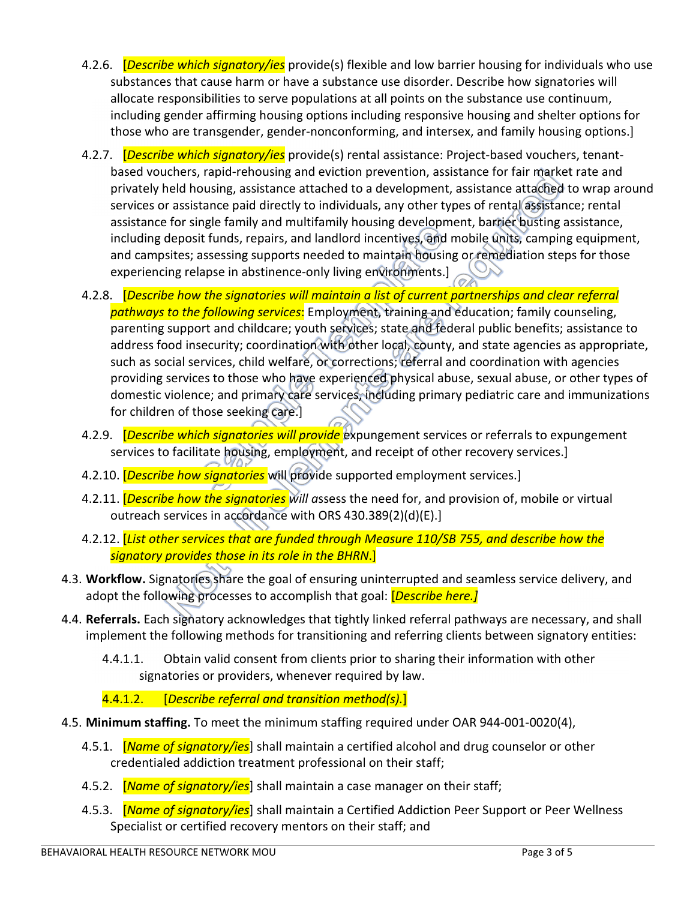- 4.2.6. [*Describe which signatory/ies* provide(s) flexible and low barrier housing for individuals who use substances that cause harm or have a substance use disorder. Describe how signatories will allocate responsibilities to serve populations at all points on the substance use continuum, including gender affirming housing options including responsive housing and shelter options for those who are transgender, gender-nonconforming, and intersex, and family housing options.]
- 4.2.7. [*Describe which signatory/ies* provide(s) rental assistance: Project-based vouchers, tenantbased vouchers, rapid-rehousing and eviction prevention, assistance for fair market rate and privately held housing, assistance attached to a development, assistance attached to wrap around services or assistance paid directly to individuals, any other types of rental assistance; rental assistance for single family and multifamily housing development, barrier busting assistance, including deposit funds, repairs, and landlord incentives, and mobile units, camping equipment, and campsites; assessing supports needed to maintain housing or remediation steps for those experiencing relapse in abstinence-only living environments.]
- 4.2.8. [*Describe how the signatories will maintain a list of current partnerships and clear referral pathways to the following services*: Employment, training and education; family counseling, parenting support and childcare; youth services; state and federal public benefits; assistance to address food insecurity; coordination with other local, county, and state agencies as appropriate, such as social services, child welfare, or corrections; referral and coordination with agencies providing services to those who have experienced physical abuse, sexual abuse, or other types of domestic violence; and primary care services, including primary pediatric care and immunizations for children of those seeking care.]
- 4.2.9. [*Describe which signatories will provide* expungement services or referrals to expungement services to facilitate housing, employment, and receipt of other recovery services.]
- 4.2.10. [*Describe how signatories* will provide supported employment services.]
- 4.2.11. [*Describe how the signatories will a*ssess the need for, and provision of, mobile or virtual outreach services in accordance with ORS 430.389(2)(d)(E).]
- 4.2.12. [*List other services that are funded through Measure 110/SB 755, and describe how the signatory provides those in its role in the BHRN*.]
- 4.3. **Workflow.** Signatories share the goal of ensuring uninterrupted and seamless service delivery, and adopt the following processes to accomplish that goal: [*Describe here.]*
- 4.4. **Referrals.** Each signatory acknowledges that tightly linked referral pathways are necessary, and shall implement the following methods for transitioning and referring clients between signatory entities:
	- 4.4.1.1. Obtain valid consent from clients prior to sharing their information with other signatories or providers, whenever required by law.

4.4.1.2. [*Describe referral and transition method(s).*]

- 4.5. **Minimum staffing.** To meet the minimum staffing required under OAR 944-001-0020(4),
	- 4.5.1. [*Name of signatory/ies*] shall maintain a certified alcohol and drug counselor or other credentialed addiction treatment professional on their staff;
	- 4.5.2. [*Name of signatory/ies*] shall maintain a case manager on their staff;
	- 4.5.3. [*Name of signatory/ies*] shall maintain a Certified Addiction Peer Support or Peer Wellness Specialist or certified recovery mentors on their staff; and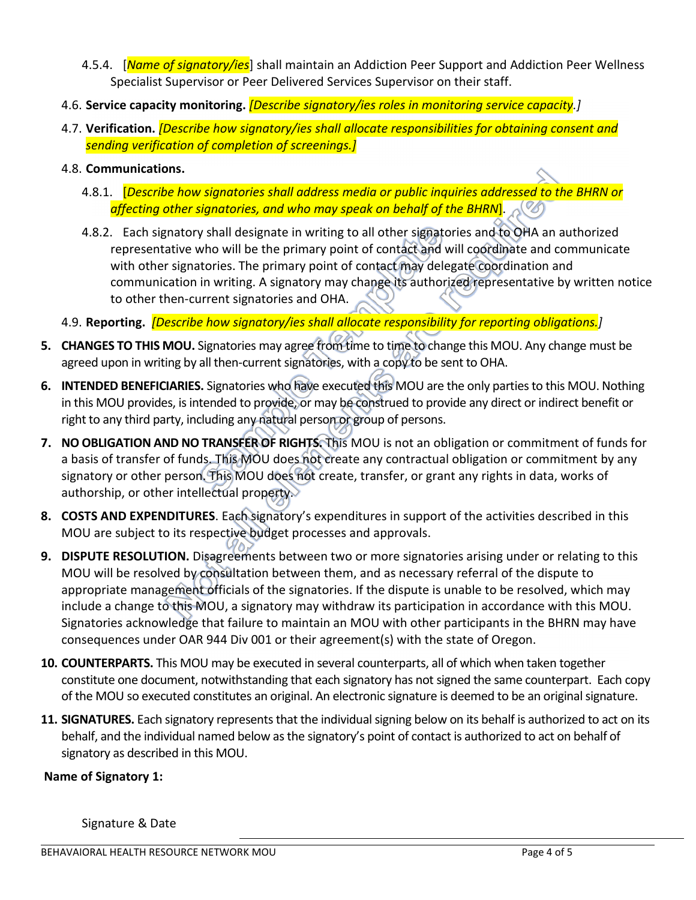- 4.5.4. [*Name of signatory/ies*] shall maintain an Addiction Peer Support and Addiction Peer Wellness Specialist Supervisor or Peer Delivered Services Supervisor on their staff.
- 4.6. **Service capacity monitoring.** *[Describe signatory/ies roles in monitoring service capacity.]*
- 4.7. **Verification.** *[Describe how signatory/ies shall allocate responsibilities for obtaining consent and sending verification of completion of screenings.]*
- 4.8. **Communications.** 
	- 4.8.1. [*Describe how signatories shall address media or public inquiries addressed to the BHRN or affecting other signatories, and who may speak on behalf of the BHRN***].**
	- 4.8.2. Each signatory shall designate in writing to all other signatories and to OHA an authorized representative who will be the primary point of contact and will coordinate and communicate with other signatories. The primary point of contact may delegate coordination and communication in writing. A signatory may change its authorized representative by written notice to other then-current signatories and OHA.
- 4.9. **Reporting.** *[Describe how signatory/ies shall allocate responsibility for reporting obligations.]*
- **5. CHANGES TO THIS MOU.** Signatories may agree from time to time to change this MOU. Any change must be agreed upon in writing by all then-current signatories, with a copy to be sent to OHA.
- **6. INTENDED BENEFICIARIES.** Signatories who have executed this MOU are the only parties to this MOU. Nothing in this MOU provides, is intended to provide, or may be construed to provide any direct or indirect benefit or right to any third party, including any natural person or group of persons.
- **7. NO OBLIGATION AND NO TRANSFER OF RIGHTS.** This MOU is not an obligation or commitment of funds for a basis of transfer of funds. This MOU does not create any contractual obligation or commitment by any signatory or other person. This MOU does not create, transfer, or grant any rights in data, works of authorship, or other intellectual property.
- **8. COSTS AND EXPENDITURES**. Each signatory's expenditures in support of the activities described in this MOU are subject to its respective budget processes and approvals.
- **9. DISPUTE RESOLUTION.** Disagreements between two or more signatories arising under or relating to this MOU will be resolved by consultation between them, and as necessary referral of the dispute to appropriate management officials of the signatories. If the dispute is unable to be resolved, which may include a change to this MOU, a signatory may withdraw its participation in accordance with this MOU. Signatories acknowledge that failure to maintain an MOU with other participants in the BHRN may have consequences under OAR 944 Div 001 or their agreement(s) with the state of Oregon.
- **10. COUNTERPARTS.** This MOU may be executed in several counterparts, all of which when taken together constitute one document, notwithstanding that each signatory has not signed the same counterpart. Each copy of the MOU so executed constitutes an original. An electronic signature is deemed to be an original signature.
- **11. SIGNATURES.** Each signatory represents that the individual signing below on its behalf is authorized to act on its behalf, and the individual named below as the signatory's point of contact is authorized to act on behalf of signatory as described in this MOU.

# **Name of Signatory 1:**

Signature & Date